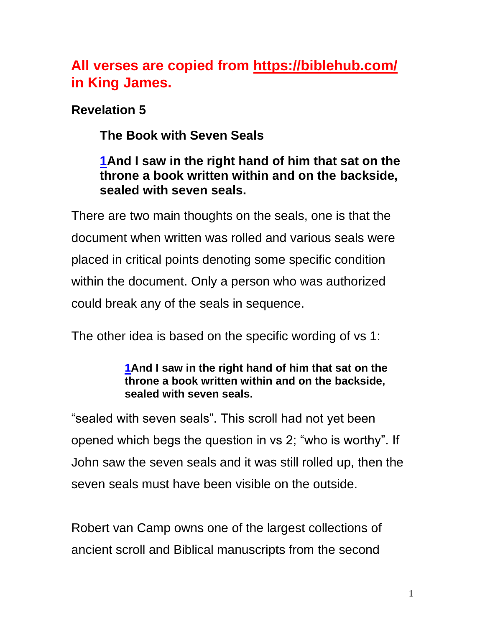# **All verses are copied from https://biblehub.com/ in King James.**

**Revelation 5**

**The Book with Seven Seals**

# **[1A](http://biblehub.com/revelation/5-1.htm)nd I saw in the right hand of him that sat on the throne a book written within and on the backside, sealed with seven seals.**

There are two main thoughts on the seals, one is that the document when written was rolled and various seals were placed in critical points denoting some specific condition within the document. Only a person who was authorized could break any of the seals in sequence.

The other idea is based on the specific wording of vs 1:

#### **[1A](http://biblehub.com/revelation/5-1.htm)nd I saw in the right hand of him that sat on the throne a book written within and on the backside, sealed with seven seals.**

"sealed with seven seals". This scroll had not yet been opened which begs the question in vs 2; "who is worthy". If John saw the seven seals and it was still rolled up, then the seven seals must have been visible on the outside.

Robert van Camp owns one of the largest collections of ancient scroll and Biblical manuscripts from the second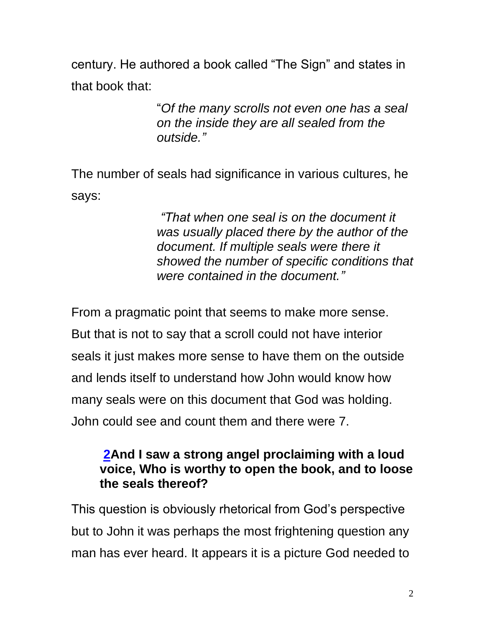century. He authored a book called "The Sign" and states in that book that:

> "*Of the many scrolls not even one has a seal on the inside they are all sealed from the outside."*

The number of seals had significance in various cultures, he says:

> *"That when one seal is on the document it was usually placed there by the author of the document. If multiple seals were there it showed the number of specific conditions that were contained in the document."*

From a pragmatic point that seems to make more sense. But that is not to say that a scroll could not have interior seals it just makes more sense to have them on the outside and lends itself to understand how John would know how many seals were on this document that God was holding. John could see and count them and there were 7.

### **[2A](http://biblehub.com/revelation/5-2.htm)nd I saw a strong angel proclaiming with a loud voice, Who is worthy to open the book, and to loose the seals thereof?**

This question is obviously rhetorical from God's perspective but to John it was perhaps the most frightening question any man has ever heard. It appears it is a picture God needed to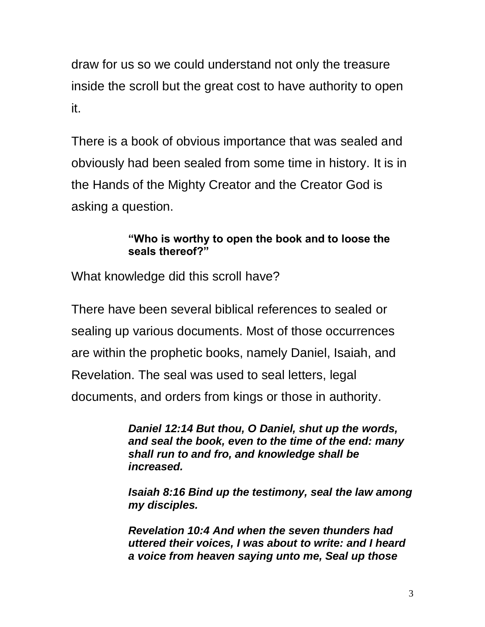draw for us so we could understand not only the treasure inside the scroll but the great cost to have authority to open it.

There is a book of obvious importance that was sealed and obviously had been sealed from some time in history. It is in the Hands of the Mighty Creator and the Creator God is asking a question.

#### **"Who is worthy to open the book and to loose the seals thereof?"**

What knowledge did this scroll have?

There have been several biblical references to sealed or sealing up various documents. Most of those occurrences are within the prophetic books, namely Daniel, Isaiah, and Revelation. The seal was used to seal letters, legal documents, and orders from kings or those in authority.

> *Daniel 12:14 But thou, O Daniel, shut up the words, and seal the book, even to the time of the end: many shall run to and fro, and knowledge shall be increased.*

*Isaiah 8:16 Bind up the testimony, seal the law among my disciples.*

*Revelation 10:4 And when the seven thunders had uttered their voices, I was about to write: and I heard a voice from heaven saying unto me, Seal up those*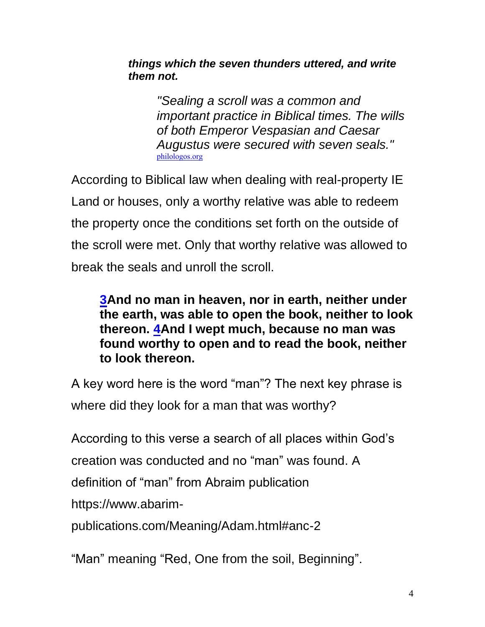#### *things which the seven thunders uttered, and write them not.*

*"Sealing a scroll was a common and important practice in Biblical times. The wills of both Emperor Vespasian and Caesar Augustus were secured with seven seals."* [philologos.org](http://philologos.org/bpr/files/s006.htm) 

According to Biblical law when dealing with real-property IE Land or houses, only a worthy relative was able to redeem the property once the conditions set forth on the outside of the scroll were met. Only that worthy relative was allowed to break the seals and unroll the scroll.

**[3A](http://biblehub.com/revelation/5-3.htm)nd no man in heaven, nor in earth, neither under the earth, was able to open the book, neither to look thereon. [4A](http://biblehub.com/revelation/5-4.htm)nd I wept much, because no man was found worthy to open and to read the book, neither to look thereon.**

A key word here is the word "man"? The next key phrase is where did they look for a man that was worthy?

According to this verse a search of all places within God's creation was conducted and no "man" was found. A definition of "man" from Abraim publication https://www.abarim-

publications.com/Meaning/Adam.html#anc-2

"Man" meaning "Red, One from the soil, Beginning".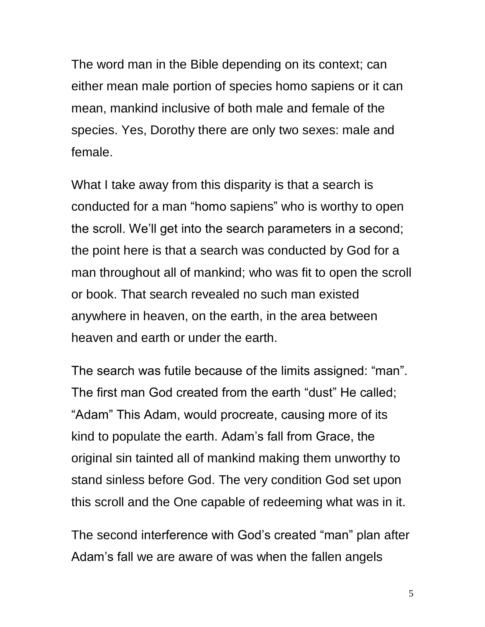The word man in the Bible depending on its context; can either mean male portion of species homo sapiens or it can mean, mankind inclusive of both male and female of the species. Yes, Dorothy there are only two sexes: male and female.

What I take away from this disparity is that a search is conducted for a man "homo sapiens" who is worthy to open the scroll. We'll get into the search parameters in a second; the point here is that a search was conducted by God for a man throughout all of mankind; who was fit to open the scroll or book. That search revealed no such man existed anywhere in heaven, on the earth, in the area between heaven and earth or under the earth.

The search was futile because of the limits assigned: "man". The first man God created from the earth "dust" He called; "Adam" This Adam, would procreate, causing more of its kind to populate the earth. Adam's fall from Grace, the original sin tainted all of mankind making them unworthy to stand sinless before God. The very condition God set upon this scroll and the One capable of redeeming what was in it.

The second interference with God's created "man" plan after Adam's fall we are aware of was when the fallen angels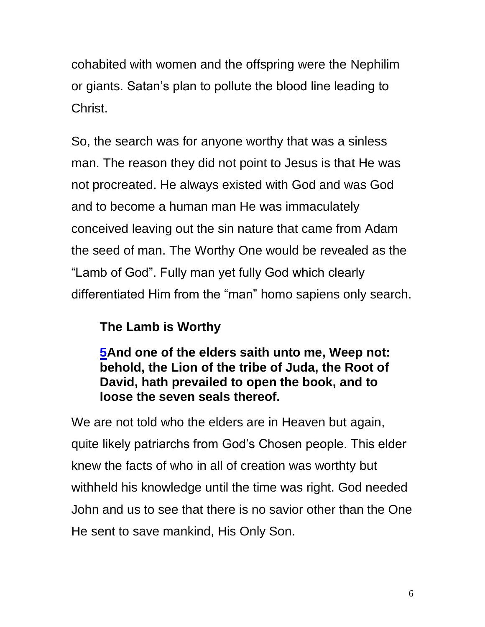cohabited with women and the offspring were the Nephilim or giants. Satan's plan to pollute the blood line leading to Christ.

So, the search was for anyone worthy that was a sinless man. The reason they did not point to Jesus is that He was not procreated. He always existed with God and was God and to become a human man He was immaculately conceived leaving out the sin nature that came from Adam the seed of man. The Worthy One would be revealed as the "Lamb of God". Fully man yet fully God which clearly differentiated Him from the "man" homo sapiens only search.

# **The Lamb is Worthy**

**[5A](http://biblehub.com/revelation/5-5.htm)nd one of the elders saith unto me, Weep not: behold, the Lion of the tribe of Juda, the Root of David, hath prevailed to open the book, and to loose the seven seals thereof.**

We are not told who the elders are in Heaven but again, quite likely patriarchs from God's Chosen people. This elder knew the facts of who in all of creation was worthty but withheld his knowledge until the time was right. God needed John and us to see that there is no savior other than the One He sent to save mankind, His Only Son.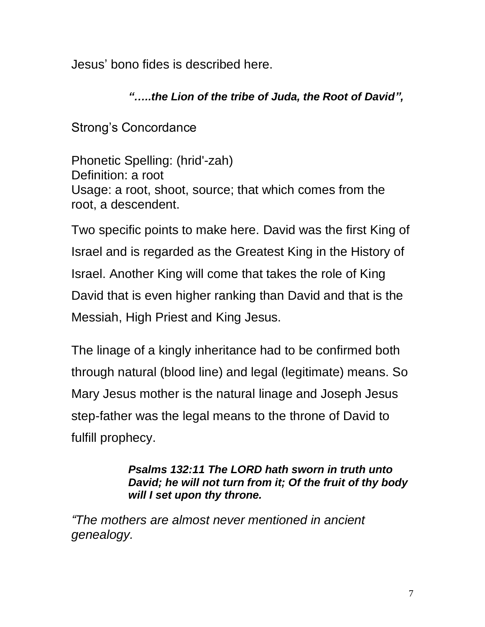Jesus' bono fides is described here.

# *"…..the Lion of the tribe of Juda, the Root of David",*

Strong's Concordance

Phonetic Spelling: (hrid'-zah) Definition: a root Usage: a root, shoot, source; that which comes from the root, a descendent.

Two specific points to make here. David was the first King of Israel and is regarded as the Greatest King in the History of Israel. Another King will come that takes the role of King David that is even higher ranking than David and that is the Messiah, High Priest and King Jesus.

The linage of a kingly inheritance had to be confirmed both through natural (blood line) and legal (legitimate) means. So Mary Jesus mother is the natural linage and Joseph Jesus step-father was the legal means to the throne of David to fulfill prophecy.

#### *Psalms 132:11 The LORD hath sworn in truth unto David; he will not turn from it; Of the fruit of thy body will I set upon thy throne.*

*"The mothers are almost never mentioned in ancient genealogy.*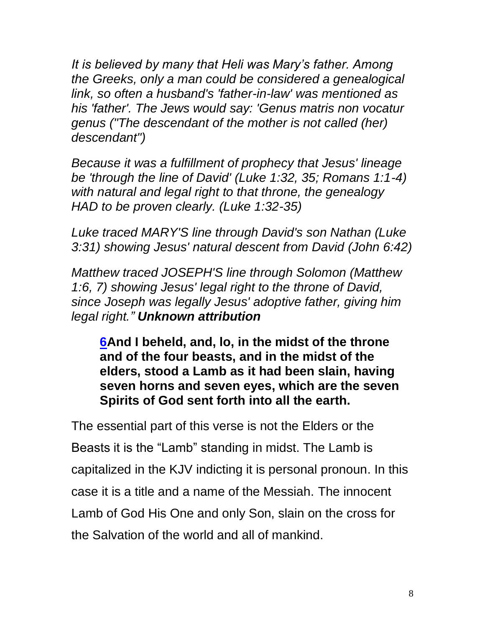*It is believed by many that Heli was Mary's father. Among the Greeks, only a man could be considered a genealogical link, so often a husband's 'father-in-law' was mentioned as his 'father'. The Jews would say: 'Genus matris non vocatur genus ("The descendant of the mother is not called (her) descendant")*

*Because it was a fulfillment of prophecy that Jesus' lineage be 'through the line of David' (Luke 1:32, 35; Romans 1:1-4) with natural and legal right to that throne, the genealogy HAD to be proven clearly. (Luke 1:32-35)*

*Luke traced MARY'S line through David's son Nathan (Luke 3:31) showing Jesus' natural descent from David (John 6:42)*

*Matthew traced JOSEPH'S line through Solomon (Matthew 1:6, 7) showing Jesus' legal right to the throne of David, since Joseph was legally Jesus' adoptive father, giving him legal right." Unknown attribution*

**[6A](http://biblehub.com/revelation/5-6.htm)nd I beheld, and, lo, in the midst of the throne and of the four beasts, and in the midst of the elders, stood a Lamb as it had been slain, having seven horns and seven eyes, which are the seven Spirits of God sent forth into all the earth.**

The essential part of this verse is not the Elders or the Beasts it is the "Lamb" standing in midst. The Lamb is capitalized in the KJV indicting it is personal pronoun. In this case it is a title and a name of the Messiah. The innocent Lamb of God His One and only Son, slain on the cross for the Salvation of the world and all of mankind.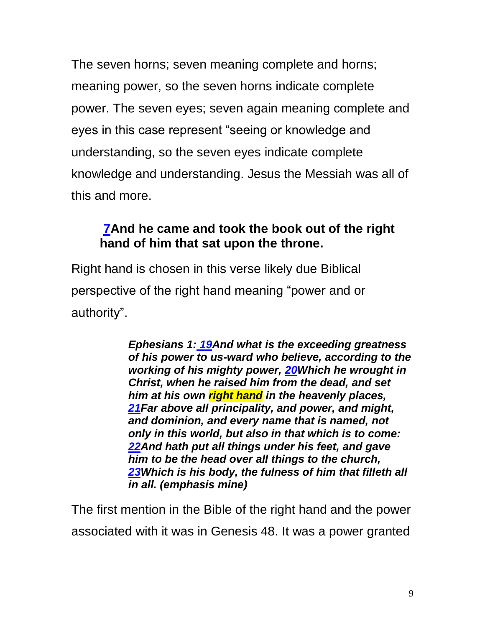The seven horns; seven meaning complete and horns; meaning power, so the seven horns indicate complete power. The seven eyes; seven again meaning complete and eyes in this case represent "seeing or knowledge and understanding, so the seven eyes indicate complete knowledge and understanding. Jesus the Messiah was all of this and more.

# **[7A](http://biblehub.com/revelation/5-7.htm)nd he came and took the book out of the right hand of him that sat upon the throne.**

Right hand is chosen in this verse likely due Biblical perspective of the right hand meaning "power and or authority".

> *Ephesians 1: [19A](https://biblehub.com/ephesians/1-19.htm)nd what is the exceeding greatness of his power to us-ward who believe, according to the working of his mighty power, [20W](https://biblehub.com/ephesians/1-20.htm)hich he wrought in Christ, when he raised him from the dead, and set him at his own right hand in the heavenly places, [21F](https://biblehub.com/ephesians/1-21.htm)ar above all principality, and power, and might, and dominion, and every name that is named, not only in this world, but also in that which is to come: [22A](https://biblehub.com/ephesians/1-22.htm)nd hath put all things under his feet, and gave him to be the head over all things to the church, [23W](https://biblehub.com/ephesians/1-23.htm)hich is his body, the fulness of him that filleth all in all. (emphasis mine)*

The first mention in the Bible of the right hand and the power associated with it was in Genesis 48. It was a power granted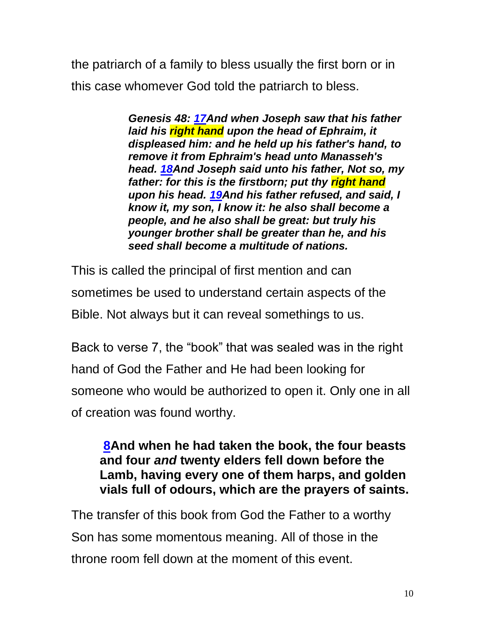the patriarch of a family to bless usually the first born or in this case whomever God told the patriarch to bless.

> *Genesis 48: [17A](https://biblehub.com/genesis/48-17.htm)nd when Joseph saw that his father laid his right hand upon the head of Ephraim, it displeased him: and he held up his father's hand, to remove it from Ephraim's head unto Manasseh's head. [18A](https://biblehub.com/genesis/48-18.htm)nd Joseph said unto his father, Not so, my father: for this is the firstborn; put thy right hand upon his head. [19A](https://biblehub.com/genesis/48-19.htm)nd his father refused, and said, I know it, my son, I know it: he also shall become a people, and he also shall be great: but truly his younger brother shall be greater than he, and his seed shall become a multitude of nations.*

This is called the principal of first mention and can sometimes be used to understand certain aspects of the Bible. Not always but it can reveal somethings to us.

Back to verse 7, the "book" that was sealed was in the right hand of God the Father and He had been looking for someone who would be authorized to open it. Only one in all of creation was found worthy.

### **[8A](http://biblehub.com/revelation/5-8.htm)nd when he had taken the book, the four beasts and four** *and* **twenty elders fell down before the Lamb, having every one of them harps, and golden vials full of odours, which are the prayers of saints.**

The transfer of this book from God the Father to a worthy Son has some momentous meaning. All of those in the throne room fell down at the moment of this event.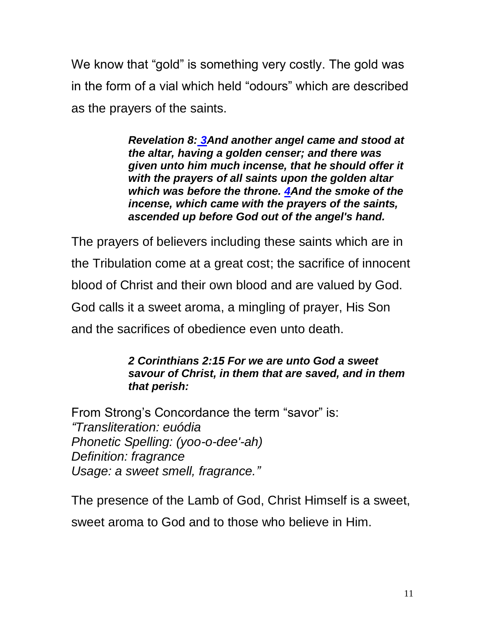We know that "gold" is something very costly. The gold was in the form of a vial which held "odours" which are described as the prayers of the saints.

> *Revelation 8: [3A](https://biblehub.com/revelation/8-3.htm)nd another angel came and stood at the altar, having a golden censer; and there was given unto him much incense, that he should offer it with the prayers of all saints upon the golden altar which was before the throne. [4A](https://biblehub.com/revelation/8-4.htm)nd the smoke of the incense, which came with the prayers of the saints, ascended up before God out of the angel's hand.*

The prayers of believers including these saints which are in the Tribulation come at a great cost; the sacrifice of innocent blood of Christ and their own blood and are valued by God. God calls it a sweet aroma, a mingling of prayer, His Son and the sacrifices of obedience even unto death.

#### *2 Corinthians 2:15 For we are unto God a sweet savour of Christ, in them that are saved, and in them that perish:*

From Strong's Concordance the term "savor" is: *"Transliteration: euódia Phonetic Spelling: (yoo-o-dee'-ah) Definition: fragrance Usage: a sweet smell, fragrance."*

The presence of the Lamb of God, Christ Himself is a sweet, sweet aroma to God and to those who believe in Him.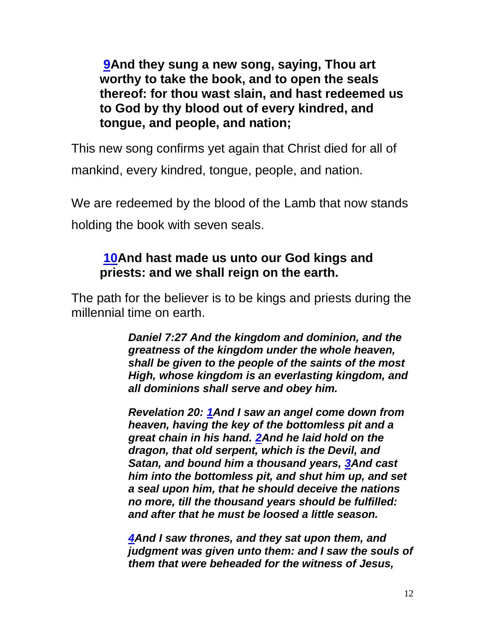**[9A](http://biblehub.com/revelation/5-9.htm)nd they sung a new song, saying, Thou art worthy to take the book, and to open the seals thereof: for thou wast slain, and hast redeemed us to God by thy blood out of every kindred, and tongue, and people, and nation;**

This new song confirms yet again that Christ died for all of mankind, every kindred, tongue, people, and nation.

We are redeemed by the blood of the Lamb that now stands holding the book with seven seals.

# **[10A](http://biblehub.com/revelation/5-10.htm)nd hast made us unto our God kings and priests: and we shall reign on the earth.**

The path for the believer is to be kings and priests during the millennial time on earth.

> *Daniel 7:27 And the kingdom and dominion, and the greatness of the kingdom under the whole heaven, shall be given to the people of the saints of the most High, whose kingdom is an everlasting kingdom, and all dominions shall serve and obey him.*

> *Revelation 20: [1A](https://biblehub.com/revelation/20-1.htm)nd I saw an angel come down from heaven, having the key of the bottomless pit and a great chain in his hand. [2A](https://biblehub.com/revelation/20-2.htm)nd he laid hold on the dragon, that old serpent, which is the Devil, and Satan, and bound him a thousand years, [3A](https://biblehub.com/revelation/20-3.htm)nd cast him into the bottomless pit, and shut him up, and set a seal upon him, that he should deceive the nations no more, till the thousand years should be fulfilled: and after that he must be loosed a little season.*

*[4A](https://biblehub.com/revelation/20-4.htm)nd I saw thrones, and they sat upon them, and judgment was given unto them: and I saw the souls of them that were beheaded for the witness of Jesus,*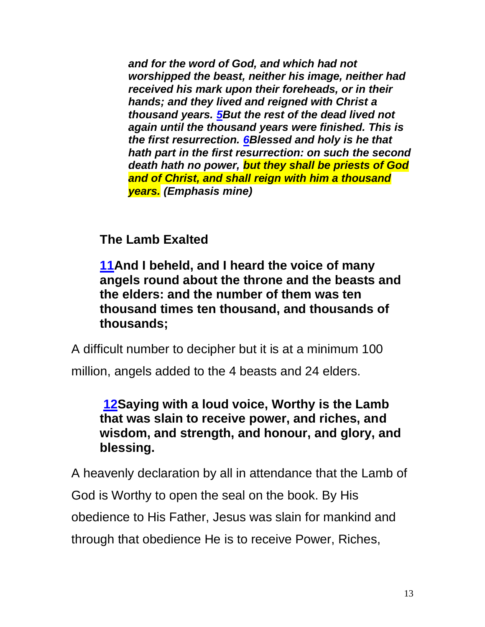*and for the word of God, and which had not worshipped the beast, neither his image, neither had received his mark upon their foreheads, or in their hands; and they lived and reigned with Christ a thousand years. [5B](https://biblehub.com/revelation/20-5.htm)ut the rest of the dead lived not again until the thousand years were finished. This is the first resurrection. [6B](https://biblehub.com/revelation/20-6.htm)lessed and holy is he that hath part in the first resurrection: on such the second death hath no power, but they shall be priests of God and of Christ, and shall reign with him a thousand years. (Emphasis mine)*

# **The Lamb Exalted**

**[11A](http://biblehub.com/revelation/5-11.htm)nd I beheld, and I heard the voice of many angels round about the throne and the beasts and the elders: and the number of them was ten thousand times ten thousand, and thousands of thousands;**

A difficult number to decipher but it is at a minimum 100

million, angels added to the 4 beasts and 24 elders.

# **[12S](http://biblehub.com/revelation/5-12.htm)aying with a loud voice, Worthy is the Lamb that was slain to receive power, and riches, and wisdom, and strength, and honour, and glory, and blessing.**

A heavenly declaration by all in attendance that the Lamb of God is Worthy to open the seal on the book. By His obedience to His Father, Jesus was slain for mankind and through that obedience He is to receive Power, Riches,